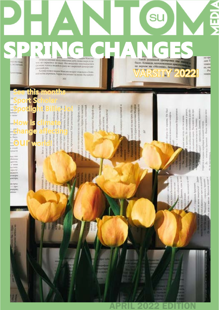-<br>Клужа поез мадие Марие вокрес отдельно сони-

 $301$ 

#### **DOMMY** ce, on

See this months or wro-to memoria su yeo Mardou, ror o Line is unability painting England this banctick We restrict to Marchell Tax. tutorogen anniversi Spotlight Billie-Jo! How is climate. change affecting

as large colora ada plastices. ä

**CELL AND REAL PROPERTY** 

scaped its statistics in order 9

подари на палочки Мафеи на связание и намере на совершении

简

depen or option. On flat sent nothern **Graphica** ï and the statement

**our yourself**<br>**Example affect**<br>**Cour world!** 

F

**Jimmac Ency** 

**MONTAGE** 

à

Sport <mark>S</mark>cholar

**HINGHA** 

**Sales** 

.<br>Grand

il.com

firms

approve

urtma aporti<br>Manazarta

ing.<br>Mana

a një

- Art Lizgwir in the little

APRIL 2022 EDITION

sins Aputton

relationship (Fe an expense in personal take increased and the area and lot win that antiques.

**The American Service** not worked to be cheesed

**SEARCH HORNER** 

 $P<sub>0</sub>$ reson

- Chang to Mason to refer-

amaring in Alex

ă

Magazine weer

ī

prima if

**March 200** 

tions in 3 stress, kinds

ter six parts.

20 kp

€

θ

VARSITY 2022!

**SU** 

**SPRING CHANGES**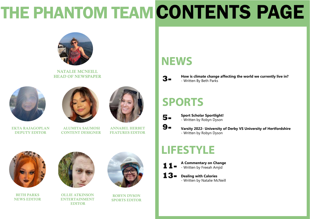# THE PHANTOM TEAM CONTENTS PAGE



NATALIE MCNEILL HEAD OF NEWSPAPER

## **NEWS**

## **SPORTS**

# **LIFESTYLE**



EKTA RAJAGOPLAN DEPUTY EDITOR



 ALUMITA SAUMOSI CONTENT DESIGNER



ANNABEL HERBET FEATURES EDITOR



OLLIE ATKINSON ENTERTAINMENT EDITOR





BETH PARKS NEWS EDITOR

ROBYN DYSON SPORTS EDITOR **3-** 

**5-**

**9-**

**13-**

**11- A Commentary on Change** - Written by Freeah Amjid

> **Dealing with Calories** - Written by Natalie McNeill



**Sport Scholar Sportlight!** - Written by Robyn Dyson

**Varsity 2022- University of Derby VS University of Hertfordshire** - Written by Robyn Dyson

#### **How is climate change affecting the world we currently live in?**

- Written By Beth Parks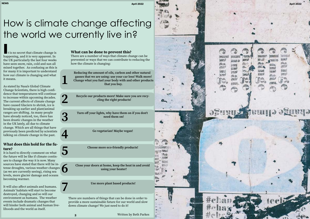## How is climate change affecting the world we currently live in?

1234567

5

3

**I**t is no secret that climate change is happening, and it is very apparent. In the UK particularly the last four weeks have seen snow, rain, cold and sun all mixed together. As confusing as this is for many it is important to understand how our climate is changing and what it means.

As stated by Nasa's Global Climate Change Scientists, there is high confi dence that temperatures will continue to increase within upcoming decades. The current affects of climate change have caused Glaciers to shrink, ice is breaking up earlier and plant/animal ranges are shifting. As many people have already noticed, too, there has been drastic changes in the weather in the UK lately, all due to climate change. Which are all things that have previously been predicted by scientists talking on climate change in the past.

#### What does this hold for the fu ture?

It is hard to directly comment on what the future will be like if climate contin ues to change the way it is now. Many sources have stated that there will be in tense droughts, various weather changes (as we are currently seeing), rising sea levels, more glacier damage and oceans becoming warmer.

It will also affect animals and humans. Animals' habitats will start to become destroyed, changing and so will our environment as humans. The weather events include dramatic changes that will hinder both animal and human live lihoods and the world as itself.

#### What can be done to prevent this?

There are a number of ways that climate change can be prevented or ways that we can contribute to reducing the how the climate is changing:

Reducing the amount of oils, carbon and other natural gasses that we are using: use your car less! Walk more! Change what you fuel your body with and other products that you buy.

Recycle our products more! Make sure you are recy cling the right products!

Turn off your lights, why have them on if you don't need them on!

Go vegetarian! Maybe vegan!

Choose more eco-friendly products!

Close your doors at home, keep the heat in and avoid using your heater!

Use more plant based products!

There are numbers of things that can be done in order to provide a more sustainable future for our world and slow down climate change! We just need to do it!

6

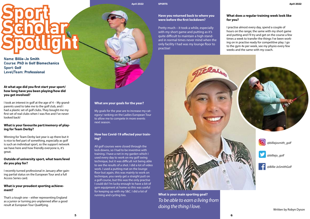# Sport<br>Scholar<br>Spotlight

Name: Billie-Jo Smith Course: PhD in Golf Biomechanics Sport: Golf Level/Team: Professional

#### **At what age did you first start your sport/ how long have you been playing/how did you get involved?**

I took an interest in golf at the age of 4 – My grandparents used to take me to the golf club, and I had a plastic set of golf clubs. They bought me my first set of real clubs when I was five and I've never looked back!

#### **What is your favourite part/memory of playing for Team Derby?**

Winning for Team Derby last year is up there but it is nice to feel part of something, especially as golf is such an individual sport, so the support network we have here and how friendly everyone is, it's great.

#### **What are your goals for the year?**

My goals for the year are to increase my category/ ranking on the Ladies European Tour to allow me to compete in more events next season.

#### **Outside of university sport, what team/level do you play for?**

I recently turned professional in January after gaining partial status on the European Tour and a full Access Series card.

#### **What is your proudest sporting achievement?**

That's a tough one – either representing England as a junior or turning pro unplanned after a good result at European Tour Qualifying.

#### **How has Covid-19 affected your training?**

All golf courses were closed through the lock downs, so I had to be inventive with training. I have a net in my garden which I used every day to work on my golf swing technique, but it was difficult not being able to see the results of a shot. I did a lot of video work. I used a putting mat on the lounge floor but again, this was mainly to work on technique, you rarely get a straight putt on a golf course, but this was the only practise I could do! I'm lucky enough to have a bit of gym equipment at home so this was useful for keeping up with my S&C. I did a lot of running and cycling too.

#### **Have you returned back to where you were before the first lockdown?**

Pretty much – it took a while, especially with my short game and putting as it's quite difficult to maintain a high standard in normal times never mind when the only facility I had was my lounge floor to practise!

### **What does a regular training week look like**

### **for you?**

I practise almost every day, spend a couple of hours on the range; the same with my short game and putting and I'll try and get on the course a few times a week to transfer the things I've been working on in practise ready for competitive play. I go to the gym 4x per week, see my physio every few weeks and the same with my coach.

**What is your main sporting goal?** *To be able to earn a living from doing the thing I love.*

Written by Robyn Dyson

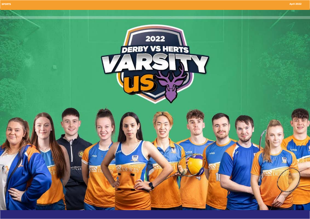



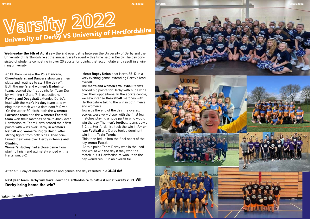# **Varsity 2022 University of Derby VS University of Hertfordshire**

At 10:30am we saw the Pole Dancers. Cheerleaders, and Dancers showcase their skills and routines to start the day off. Both the men's and women's Badminton teams scored the first points for Team Der by, winning 6-2 and 7-1 respectively. Rowing and Dodgeball extended Derby's lead with the men's Hockey team also winning their match with a dominant 9-0 win. On the upper 3G pitch, both the women's Lacrosse team and the women's Football team won their matches back-to-back over Hertfordshire. Team Herts scored their first points with wins over Derby in women's Netball and women's Rugby Union, after strong fights from both sides. They con tinued their wins over Derby in Tennis and Climbing .

Wednesday the 6th of April saw the 2nd ever battle between the University of Derby and the University of Hertfordshire at the annual Varsity event – this time held in Derby. The day con sisted of students competing in over 20 sports for points, that accumulate and result in a win ning university.

> Men's Rugby Union beat Herts 55-12 in a very exciting game, extending Derby's lead overall.

Towards the end of the day, the overall scores were very close, with the final few matches playing a huge part in who would win the day. The men's football teams saw a 2-2 tie, Hertfordshire took the win in **Amer**ican Football and Derby took a dominant win in the Table Tennis.

Women's Hockey had a close game from start to finish and ultimately ended with a Herts win; 3-2.

Written by Robyn Dyson

 This then led us into the final sport of the day, men's Futsal.

The men's and women's Volleyball teams scored big points for Derby with huge wins over their oppositions. In the sports centre, we saw intense Basketball matches with Hertfordshire taking the win in both men's and women's.

 At this point, Team Derby was in the lead, and would win the day if they won the match, but if Hertfordshire won, then the day would result in an overall tie.

After a full day of intense matches and games, the day resulted in a 31-31 tie!

Next year Team Derby will travel down to Hertfordshire to battle it out at Varsity 2023. Will Derby bring home the win?

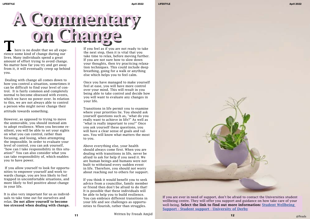rience some kind of change during our lives. Many individuals spend a great amount of effort trying to avoid change. No matter how far you try and get away from it, it will eventually creep up behind you.

 Dealing with change all comes down to how you control a situation, sometimes it can be difficult to find your level of control. It is fairly common and completely normal to become obsessed with events, which we have no power over. In relation to this, we are not always able to control a person who might never change their attitude towards something.

However, as opposed to trying to move the unmovable, you should instead aim to adopt resilience. When you become resilient, you will be able to set your sights on what you can control, rather than focusing, and losing, when attempting the impossible. In order to evaluate your level of control, you can ask yourself, "how can I take responsibility in this situation?" You can also consider what you can take responsibility of, which enables you to have power.

 If you allow yourself to look for opportunities to empower yourself and work towards change, you are less likely to feel trapped in uncomfortable situations, and more likely to feel positive about change in your life.

It is also very important for us as individuals to take time out for ourselves and relax. Do not allow yourself to become too stressed when dealing with change.

If you feel as if you are not ready to take the next step, then it is vital that you take time to relax, before moving further. If you are not sure how to slow down your thoughts, then try practicing relaxation techniques. This could include deep breathing, going for a walk or anything else which helps you to feel calm.

Once you have managed to make yourself feel at ease, you will have more control over your mind. This will result in you being able to take control and decide how you will want to evaluate any changes in your life.

Transitions in life permit you to examine where your priorities lie. You should ask yourself questions such as, "what do you really want to achieve in life?" As well as "what is really important to you?" Once you ask yourself these questions, you will have a clear sense of goals and values. You will know what matters the most to you.

Above everything else, your health should always come first. When you are dealing with transitions in life, never be afraid to ask for help if you need it. We are human beings and humans were not built to withstand every sudden event in life. Therefore, you should not worry about reaching out to others for support.

If you think it would benefit you to seek advice from a councillor, family member or friend then don't be afraid to do that! It is possible that these individuals will be able to help you to build resilience. You can embrace different transitions in your life and see challenges as opportunities to flourish, rather than struggles.



If you are ever in need of support, don't be afraid to contact the Universities student wellbeing centre. They will offer you support and guidance on how take care of your well-being. Select the link to find out more information: [Student Wellbeing](  If you are ever in need of support, don’t be afraid to contact the Universities student wellbeing centre. They will offer you support and guidance on how take care of your well-being. Select the link to find out more information: Student Wellbeing Support - Student support - University of Derby)  [Support - Student support - University of Derby](  If you are ever in need of support, don’t be afraid to contact the Universities student wellbeing centre. They will offer you support and guidance on how take care of your well-being. Select the link to find out more information: Student Wellbeing Support - Student support - University of Derby)

Written by Freeah Amjid @Pexels **11 12**

# A Corning Pierre is no doubt that we all expe-<br>
There is no doubt that we all expe-<br>
There is no doubt that we all expe-<br>
The next step, then it is vital that you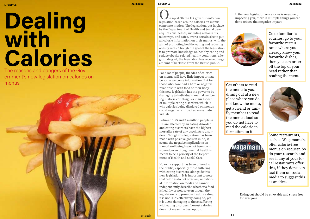# Dealing with Calories

The reasons and dangers of the Government's new legislation on calories on menus

n April 6th the UK government's new legislation based around calories on menus came into motion. The legislation, put in place by the Department of Health and Social care, requires businesses, including restaurants, takeaways, and cafes, over a certain size to put all calorie information on their menus, with the aim of promoting healthy eating and reducing obesity rates. Though the goal of the legislation is to promote knowledge on healthy eating and reduce obesity related healthy conditions, a legitimate goal, the legislation has received large amount of backlash from the British public.

For a lot of people, the idea of calories on menus will have little impact or may be some welcome information. But for those who have had a hard or negative relationship with food or their body, this new legislation has the power to be damaging to individuals' mental wellbeing. Calorie counting is a main aspect of multiple eating disorders, which is why calories being displayed on menus could negatively impact so many individuals.

Between 1.25 and 3.4 million people in UK are affected by an eating disorder and eating disorders have the highest mortality rate of any psychiatric disorders. Though this legislation has been made with positive goals in mind, it seems the negative implications on mental wellbeing have not been considered, even though mental health is meant to be a priority of the Department of Health and Social Care.

No extra support has been offered to the public, especially those suffering with eating disorders, alongside this new legislation. It is important to note that calories do not offer any nutritional information on foods and cannot independently describe whether a food is healthy or not, so even though the legislation is to promote healthy eating, it is not 100% effectively doing so, yet it is 100% damaging to those suffering with eating disorders. Lowest calories does not mean the best option.





If the new legislation on calories is negatively impacting you, there is multiple things you can do to reduce that negative impact:



Go to familiar favourites: go to your favourite restaurants where you already know your favourite dishes, then you can order off the top of your head rather than reading the menu.

Get others to read the menu to you: if dining out at a new place where you do not know the menu, get a friend or family member to read the menu aloud so you do not have to read the calorie information on it.



Some restaurants, such as Wagamama's, offer calorie-free menus on request. So do your research and see if any of your local restaurants offer this, if they don't contact them on social media to suggest this as an idea.

Eating out should be enjoyable and stress free for everyone.

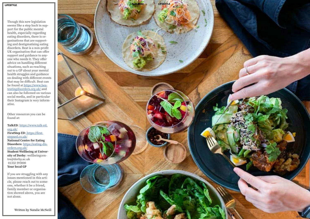Though this new legislation seems like a step back in sup port for the public mental health, especially regarding eating disorders, there is or ganisations that are support ing and destigmatising eating disorders. Beat is a non-profit UK organisation that can offer support and guidance to any one who needs it. They offer advice on handling different situations, such as reaching out to a GP about your mental health struggles and guidance on dealing with different events that may be difficult. Beat can be found at <u>https://www.bea-</u> [teatingdisorders.org.uk/](https://www.beateatingdisorders.org.uk/) and can also be followed on various social media, and in particular their Instagram is very inform ative.

Other resources you can be found at:

TalkED: [https://www.talk-ed.](https://www.talk-ed.org.uk/) [org.uk/](https://www.talk-ed.org.uk/) FirstStep ED: [https://first]( https://firststepsed.co.uk/)[stepsed.co.uk/]( https://firststepsed.co.uk/) National Centre for Eating Disorders: [https://eating-dis](https://eating-disorders.org.uk/)[orders.org.uk/](https://eating-disorders.org.uk/) Student Wellbeing at Univer **sity of Derby**: wellbeingcentre@derby.ac.uk 01332 593000

Your local GP

If you are struggling with any issues mentioned in this arti cle, please reach out to some one, whether it be a friend, family member or organisa tion showed above, you are not alone.